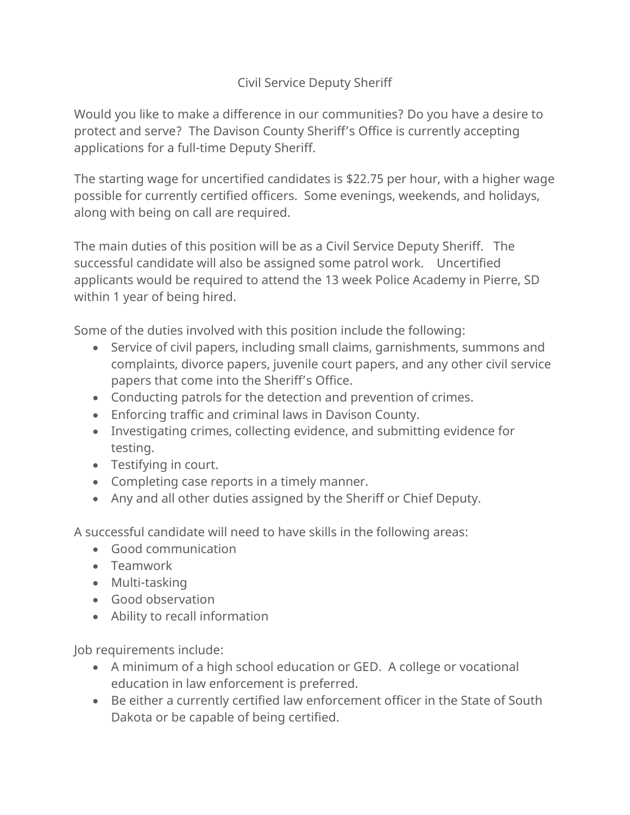## Civil Service Deputy Sheriff

Would you like to make a difference in our communities? Do you have a desire to protect and serve? The Davison County Sheriff's Office is currently accepting applications for a full-time Deputy Sheriff.

The starting wage for uncertified candidates is \$22.75 per hour, with a higher wage possible for currently certified officers. Some evenings, weekends, and holidays, along with being on call are required.

The main duties of this position will be as a Civil Service Deputy Sheriff. The successful candidate will also be assigned some patrol work. Uncertified applicants would be required to attend the 13 week Police Academy in Pierre, SD within 1 year of being hired.

Some of the duties involved with this position include the following:

- Service of civil papers, including small claims, garnishments, summons and complaints, divorce papers, juvenile court papers, and any other civil service papers that come into the Sheriff's Office.
- Conducting patrols for the detection and prevention of crimes.
- Enforcing traffic and criminal laws in Davison County.
- Investigating crimes, collecting evidence, and submitting evidence for testing.
- Testifying in court.
- Completing case reports in a timely manner.
- Any and all other duties assigned by the Sheriff or Chief Deputy.

A successful candidate will need to have skills in the following areas:

- Good communication
- Teamwork
- Multi-tasking
- Good observation
- Ability to recall information

Job requirements include:

- A minimum of a high school education or GED. A college or vocational education in law enforcement is preferred.
- Be either a currently certified law enforcement officer in the State of South Dakota or be capable of being certified.